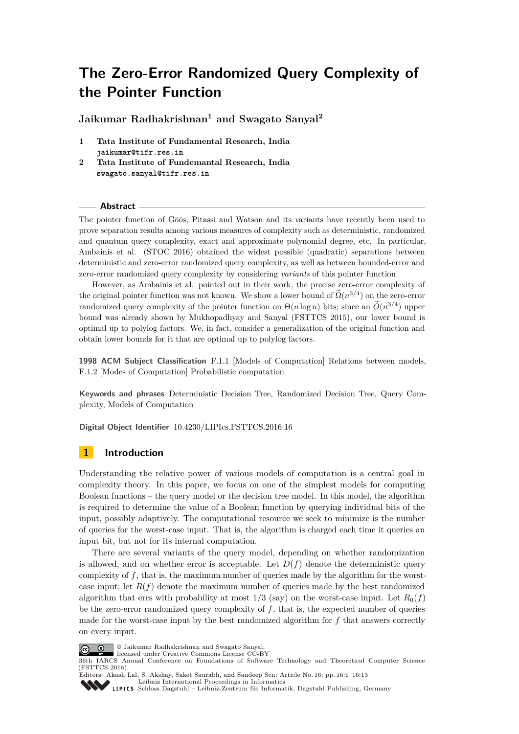# **The Zero-Error Randomized Query Complexity of the Pointer Function**

**Jaikumar Radhakrishnan<sup>1</sup> and Swagato Sanyal<sup>2</sup>**

- **1 Tata Institute of Fundamental Research, India jaikumar@tifr.res.in**
- **2 Tata Institute of Fundemantal Research, India swagato.sanyal@tifr.res.in**

## **Abstract**

The pointer function of Göös, Pitassi and Watson and its variants have recently been used to prove separation results among various measures of complexity such as deterministic, randomized and quantum query complexity, exact and approximate polynomial degree, etc. In particular, Ambainis et al. (STOC 2016) obtained the widest possible (quadratic) separations between deterministic and zero-error randomized query complexity, as well as between bounded-error and zero-error randomized query complexity by considering *variants* of this pointer function.

However, as Ambainis et al. pointed out in their work, the precise zero-error complexity of the original pointer function was not known. We show a lower bound of  $\Omega(n^{3/4})$  on the zero-error randomized query complexity of the pointer function on  $\Theta(n \log n)$  bits; since an  $\tilde{O}(n^{3/4})$  upper bound was already shown by Mukhopadhyay and Sanyal (FSTTCS 2015), our lower bound is optimal up to polylog factors. We, in fact, consider a generalization of the original function and obtain lower bounds for it that are optimal up to polylog factors.

**1998 ACM Subject Classification** F.1.1 [Models of Computation] Relations between models, F.1.2 [Modes of Computation] Probabilistic computation

**Keywords and phrases** Deterministic Decision Tree, Randomized Decision Tree, Query Complexity, Models of Computation

**Digital Object Identifier** [10.4230/LIPIcs.FSTTCS.2016.16](http://dx.doi.org/10.4230/LIPIcs.FSTTCS.2016.16)

## **1 Introduction**

Understanding the relative power of various models of computation is a central goal in complexity theory. In this paper, we focus on one of the simplest models for computing Boolean functions – the query model or the decision tree model. In this model, the algorithm is required to determine the value of a Boolean function by querying individual bits of the input, possibly adaptively. The computational resource we seek to minimize is the number of queries for the worst-case input. That is, the algorithm is charged each time it queries an input bit, but not for its internal computation.

There are several variants of the query model, depending on whether randomization is allowed, and on whether error is acceptable. Let  $D(f)$  denote the deterministic query complexity of *f*, that is, the maximum number of queries made by the algorithm for the worstcase input; let  $R(f)$  denote the maximum number of queries made by the best randomized algorithm that errs with probability at most  $1/3$  (say) on the worst-case input. Let  $R_0(f)$ be the zero-error randomized query complexity of *f*, that is, the expected number of queries made for the worst-case input by the best randomized algorithm for *f* that answers correctly on every input.



© Jaikumar Radhakrishnan and Swagato Sanyal;

licensed under Creative Commons License CC-BY

36th IARCS Annual Conference on Foundations of Software Technology and Theoretical Computer Science (FSTTCS 2016).



Editors: Akash Lal, S. Akshay, Saket Saurabh, and Sandeep Sen; Article No. 16; pp. 16:1–16[:13](#page-12-0) [Leibniz International Proceedings in Informatics](http://www.dagstuhl.de/lipics/)

[Schloss Dagstuhl – Leibniz-Zentrum für Informatik, Dagstuhl Publishing, Germany](http://www.dagstuhl.de)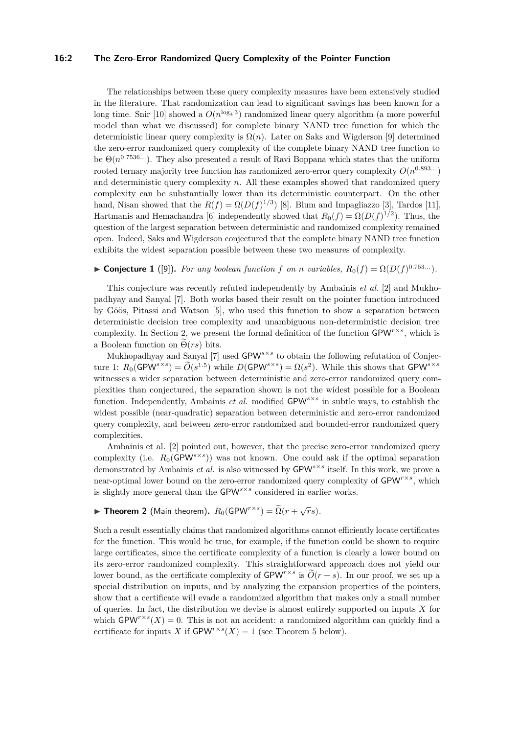## **16:2 The Zero-Error Randomized Query Complexity of the Pointer Function**

The relationships between these query complexity measures have been extensively studied in the literature. That randomization can lead to significant savings has been known for a long time. Snir [\[10\]](#page-12-1) showed a  $O(n^{\log_4 3})$  randomized linear query algorithm (a more powerful model than what we discussed) for complete binary NAND tree function for which the deterministic linear query complexity is  $\Omega(n)$ . Later on Saks and Wigderson [\[9\]](#page-12-2) determined the zero-error randomized query complexity of the complete binary NAND tree function to be  $\Theta(n^{0.7536...})$ . They also presented a result of Ravi Boppana which states that the uniform rooted ternary majority tree function has randomized zero-error query complexity  $O(n^{0.893...})$ and deterministic query complexity *n*. All these examples showed that randomized query complexity can be substantially lower than its deterministic counterpart. On the other hand, Nisan showed that the  $R(f) = \Omega(D(f)^{1/3})$  [\[8\]](#page-12-3). Blum and Impagliazzo [\[3\]](#page-12-4), Tardos [\[11\]](#page-12-5), Hartmanis and Hemachandra [\[6\]](#page-12-6) independently showed that  $R_0(f) = \Omega(D(f)^{1/2})$ . Thus, the question of the largest separation between deterministic and randomized complexity remained open. Indeed, Saks and Wigderson conjectured that the complete binary NAND tree function exhibits the widest separation possible between these two measures of complexity.

<span id="page-1-0"></span>► **Conjecture 1** ([\[9\]](#page-12-2)). For any boolean function f on *n* variables,  $R_0(f) = \Omega(D(f)^{0.753...})$ .

This conjecture was recently refuted independently by Ambainis *et al.* [\[2\]](#page-12-7) and Mukhopadhyay and Sanyal [\[7\]](#page-12-8). Both works based their result on the pointer function introduced by Göös, Pitassi and Watson [\[5\]](#page-12-9), who used this function to show a separation between deterministic decision tree complexity and unambiguous non-deterministic decision tree complexity. In Section [2,](#page-2-0) we present the formal definition of the function  $\text{GPW}^{r\times s}$ , which is a Boolean function on  $\Theta(rs)$  bits.

Mukhopadhyay and Sanyal [\[7\]](#page-12-8) used GPW<sup>s×s</sup> to obtain the following refutation of Conjec-ture [1:](#page-1-0)  $R_0(\text{GPW}^{s \times s}) = \widetilde{O}(s^{1.5})$  while  $D(\text{GPW}^{s \times s}) = \Omega(s^2)$ . While this shows that  $\text{GPW}^{s \times s}$ witnesses a wider separation between deterministic and zero-error randomized query complexities than conjectured, the separation shown is not the widest possible for a Boolean function. Independently, Ambainis *et al.* modified GPW*s*×*<sup>s</sup>* in subtle ways, to establish the widest possible (near-quadratic) separation between deterministic and zero-error randomized query complexity, and between zero-error randomized and bounded-error randomized query complexities.

Ambainis et al. [\[2\]](#page-12-7) pointed out, however, that the precise zero-error randomized query complexity (i.e.  $R_0(\text{GPW}^{s \times s})$ ) was not known. One could ask if the optimal separation demonstrated by Ambainis *et al.* is also witnessed by GPW*s*×*<sup>s</sup>* itself. In this work, we prove a near-optimal lower bound on the zero-error randomized query complexity of  $\mathsf{GPW}^{r\times s}$ , which is slightly more general than the GPW*s*×*<sup>s</sup>* considered in earlier works.

<span id="page-1-1"></span>▶ **Theorem 2** (Main theorem).  $R_0(\text{GPW}^{r \times s}) = \tilde{\Omega}(r + \sqrt{r}s)$ .

Such a result essentially claims that randomized algorithms cannot efficiently locate certificates for the function. This would be true, for example, if the function could be shown to require large certificates, since the certificate complexity of a function is clearly a lower bound on its zero-error randomized complexity. This straightforward approach does not yield our lower bound, as the certificate complexity of  $\mathsf{GPW}^{r\times s}$  is  $\widetilde{O}(r+s)$ . In our proof, we set up a special distribution on inputs, and by analyzing the expansion properties of the pointers, show that a certificate will evade a randomized algorithm that makes only a small number of queries. In fact, the distribution we devise is almost entirely supported on inputs *X* for which  $\mathsf{GPW}^{r\times s}(X)=0$ . This is not an accident: a randomized algorithm can quickly find a certificate for inputs *X* if  $\text{GPW}^{r \times s}(X) = 1$  (see Theorem [5](#page-3-0) below).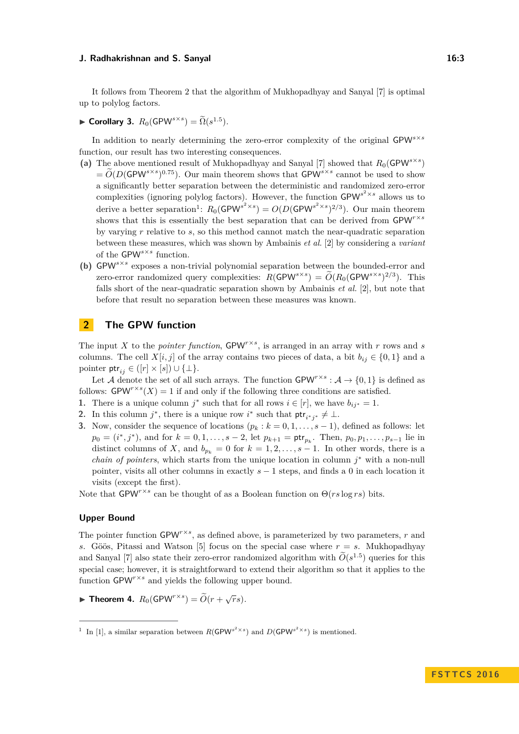It follows from Theorem [2](#page-1-1) that the algorithm of Mukhopadhyay and Sanyal [\[7\]](#page-12-8) is optimal up to polylog factors.

▶ **Corollary 3.**  $R_0$ (GPW<sup>*s*×*s*</sup>)</sup> =  $\widetilde{\Omega}(s^{1.5})$ .

In addition to nearly determining the zero-error complexity of the original GPW<sup>s×*s*</sup> function, our result has two interesting consequences.

- (a) The above mentioned result of Mukhopadhyay and Sanyal [\[7\]](#page-12-8) showed that  $R_0(\text{GPW}^{s \times s})$  $= \widetilde{O}(D(\text{GPW}^{s \times s})^{0.75})$ . Our main theorem shows that  $\text{GPW}^{s \times s}$  cannot be used to show a significantly better separation between the deterministic and randomized zero-error complexities (ignoring polylog factors). However, the function  $\text{GPW}^{s^2 \times s}$  allows us to derive a better separation<sup>[1](#page-2-1)</sup>:  $R_0(\text{GPW}^{s^2 \times s}) = O(D(\text{GPW}^{s^2 \times s})^{2/3})$ . Our main theorem shows that this is essentially the best separation that can be derived from  $\mathsf{GPW}^{r\times s}$ by varying *r* relative to *s*, so this method cannot match the near-quadratic separation between these measures, which was shown by Ambainis *et al.* [\[2\]](#page-12-7) by considering a *variant* of the GPW*s*×*<sup>s</sup>* function.
- **(b)** GPW*s*×*<sup>s</sup>* exposes a non-trivial polynomial separation between the bounded-error and zero-error randomized query complexities:  $R(\text{GPW}^{s \times s}) = \widetilde{O}(R_0(\text{GPW}^{s \times s})^{2/3})$ . This falls short of the near-quadratic separation shown by Ambainis *et al.* [\[2\]](#page-12-7), but note that before that result no separation between these measures was known.

## <span id="page-2-0"></span>**2 The GPW function**

The input *X* to the *pointer function*,  $\text{GPW}^{r \times s}$ , is arranged in an array with *r* rows and *s* columns. The cell *X*[*i, j*] of the array contains two pieces of data, a bit  $b_{ij} \in \{0,1\}$  and a pointer  $\mathsf{ptr}_{ij} \in ([r] \times [s]) \cup \{\perp\}.$ 

Let A denote the set of all such arrays. The function  $\mathsf{GPW}^{r\times s}:\mathcal{A}\to\{0,1\}$  is defined as follows:  $\mathsf{GPW}^{r\times s}(X) = 1$  if and only if the following three conditions are satisfied.

- **1.** There is a unique column  $j^*$  such that for all rows  $i \in [r]$ , we have  $b_{ij^*} = 1$ .
- 2. In this column *j*<sup>\*</sup>, there is a unique row *i*<sup>\*</sup> such that  $ptr_{i^*j^*} \neq \bot$ .
- **3.** Now, consider the sequence of locations  $(p_k : k = 0, 1, \ldots, s-1)$ , defined as follows: let  $p_0 = (i^*, j^*)$ , and for  $k = 0, 1, \ldots, s - 2$ , let  $p_{k+1} = \text{ptr}_{p_k}$ . Then,  $p_0, p_1, \ldots, p_{s-1}$  lie in distinct columns of *X*, and  $b_{p_k} = 0$  for  $k = 1, 2, \ldots, s - 1$ . In other words, there is a *chain of pointers*, which starts from the unique location in column  $j^*$  with a non-null pointer, visits all other columns in exactly *s* − 1 steps, and finds a 0 in each location it visits (except the first).

Note that  $GPW^{r\times s}$  can be thought of as a Boolean function on  $\Theta(rs \log rs)$  bits.

### **Upper Bound**

The pointer function  $\text{GPW}^{r\times s}$ , as defined above, is parameterized by two parameters, *r* and *s*. Göös, Pitassi and Watson [\[5\]](#page-12-9) focus on the special case where *r* = *s*. Mukhopadhyay and Sanyal [\[7\]](#page-12-8) also state their zero-error randomized algorithm with  $\tilde{O}(s^{1.5})$  queries for this special case; however, it is straightforward to extend their algorithm so that it applies to the function  $\text{GPW}^{r \times s}$  and yields the following upper bound.

▶ **Theorem 4.**  $R_0$ (GPW<sup>r×*s*</sup>)</sup> =  $\widetilde{O}(r + \sqrt{r}s)$ .

<span id="page-2-1"></span><sup>&</sup>lt;sup>1</sup> In [\[1\]](#page-12-10), a similar separation between  $R(\text{GPW}^{s^2 \times s})$  and  $D(\text{GPW}^{s^2 \times s})$  is mentioned.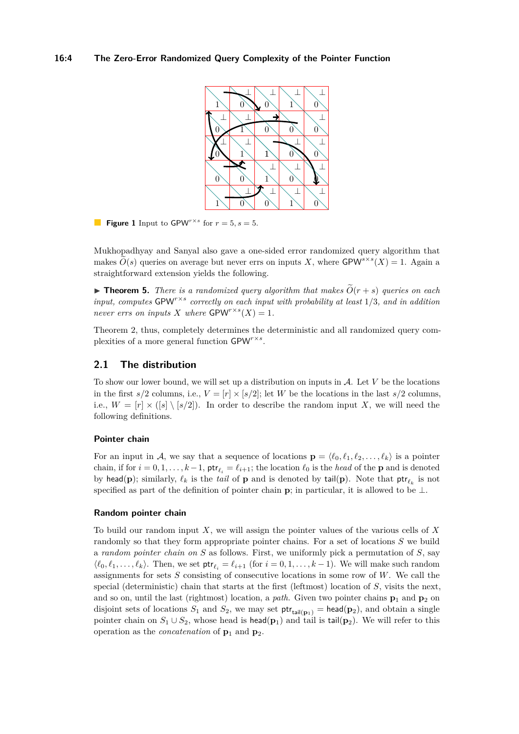

**Figure 1** Input to GPW<sup>*r*×*s*</sup> for  $r = 5$ ,  $s = 5$ .

Mukhopadhyay and Sanyal also gave a one-sided error randomized query algorithm that makes  $\widetilde{O}(s)$  queries on average but never errs on inputs *X*, where  $\text{GPW}^{s \times s}(X) = 1$ . Again a straightforward extension yields the following.

<span id="page-3-0"></span> $\triangleright$  **Theorem 5.** *There is a randomized query algorithm that makes*  $\tilde{O}(r + s)$  *queries on each input, computes* GPW*r*×*<sup>s</sup> correctly on each input with probability at least* 1*/*3*, and in addition never errs on inputs X where*  $\text{GPW}^{r \times s}(X) = 1$ *.* 

Theorem [2,](#page-1-1) thus, completely determines the deterministic and all randomized query complexities of a more general function GPW*r*×*<sup>s</sup>* .

## **2.1 The distribution**

To show our lower bound, we will set up a distribution on inputs in A. Let *V* be the locations in the first  $s/2$  columns, i.e.,  $V = [r] \times [s/2]$ ; let *W* be the locations in the last  $s/2$  columns, i.e.,  $W = [r] \times ([s] \setminus [s/2])$ . In order to describe the random input *X*, we will need the following definitions.

#### **Pointer chain**

For an input in A, we say that a sequence of locations  $\mathbf{p} = \langle \ell_0, \ell_1, \ell_2, \ldots, \ell_k \rangle$  is a pointer chain, if for  $i = 0, 1, \ldots, k-1$ ,  $\mathsf{ptr}_{\ell_i} = \ell_{i+1}$ ; the location  $\ell_0$  is the *head* of the **p** and is denoted by head(**p**); similarly,  $\ell_k$  is the *tail* of **p** and is denoted by tail(**p**). Note that  $\mathsf{ptr}_{\ell_k}$  is not specified as part of the definition of pointer chain **p**; in particular, it is allowed to be ⊥.

#### **Random pointer chain**

To build our random input *X*, we will assign the pointer values of the various cells of *X* randomly so that they form appropriate pointer chains. For a set of locations *S* we build a *random pointer chain on S* as follows. First, we uniformly pick a permutation of *S*, say  $\langle \ell_0, \ell_1, \ldots, \ell_k \rangle$ . Then, we set  $\mathsf{ptr}_{\ell_i} = \ell_{i+1}$  (for  $i = 0, 1, \ldots, k-1$ ). We will make such random assignments for sets *S* consisting of consecutive locations in some row of *W*. We call the special (deterministic) chain that starts at the first (leftmost) location of *S*, visits the next, and so on, until the last (rightmost) location, a *path*. Given two pointer chains  $\mathbf{p}_1$  and  $\mathbf{p}_2$  on disjoint sets of locations  $S_1$  and  $S_2$ , we may set  $ptr_{tail(\mathbf{p}_1)} = \mathsf{head}(\mathbf{p}_2)$ , and obtain a single pointer chain on  $S_1 \cup S_2$ , whose head is head(**p**<sub>1</sub>) and tail is tail(**p**<sub>2</sub>). We will refer to this operation as the *concatenation* of  $\mathbf{p}_1$  and  $\mathbf{p}_2$ .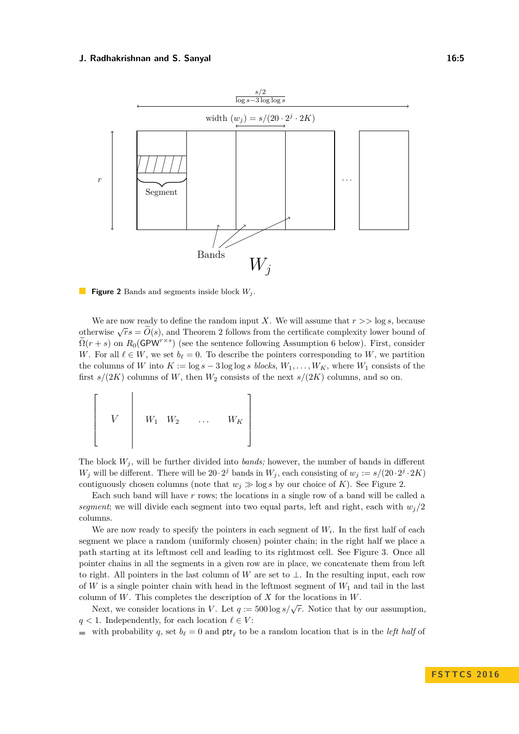<span id="page-4-0"></span>

**Figure 2** Bands and segments inside block *W<sup>j</sup>* .

We are now ready to define the random input *X*. We will assume that *r >>* log *s*, because otherwise  $\sqrt{r}s = \widetilde{O}(s)$ , and Theorem [2](#page-1-1) follows from the certificate complexity lower bound of  $\widetilde{S}(s)$ .  $\widetilde{\Omega}(r+s)$  on  $R_0(\mathsf{GPW}^{r\times s})$  (see the sentence following Assumption [6](#page-5-0) below). First, consider *W*. For all  $\ell \in W$ , we set  $b_{\ell} = 0$ . To describe the pointers corresponding to *W*, we partition the columns of *W* into  $K := \log s - 3 \log \log s$  *blocks*,  $W_1, \ldots, W_K$ , where  $W_1$  consists of the first  $s/(2K)$  columns of *W*, then  $W_2$  consists of the next  $s/(2K)$  columns, and so on.

$$
\left[\begin{array}{ccc} & & & \\ & V & & w_1 & w_2 & \dots & w_K \end{array}\right]
$$

The block  $W_j$ , will be further divided into *bands*; however, the number of bands in different *W*<sub>j</sub> will be different. There will be  $20 \cdot 2^j$  bands in  $W_j$ , each consisting of  $w_j := s/(20 \cdot 2^j \cdot 2K)$ contiguously chosen columns (note that  $w_j \gg \log s$  by our choice of *K*). See Figure [2.](#page-4-0)

Each such band will have *r* rows; the locations in a single row of a band will be called a *segment*; we will divide each segment into two equal parts, left and right, each with  $w_j/2$ columns.

We are now ready to specify the pointers in each segment of  $W_i$ . In the first half of each segment we place a random (uniformly chosen) pointer chain; in the right half we place a path starting at its leftmost cell and leading to its rightmost cell. See Figure [3.](#page-5-1) Once all pointer chains in all the segments in a given row are in place, we concatenate them from left to right. All pointers in the last column of *W* are set to  $\perp$ . In the resulting input, each row of *W* is a single pointer chain with head in the leftmost segment of *W*<sup>1</sup> and tail in the last column of *W*. This completes the description of *X* for the locations in *W*.

Next, we consider locations in *V*. Let  $q := 500 \log s / \sqrt{r}$ . Notice that by our assumption, *q* < 1. Independently, for each location  $\ell \in V$ :

with probability q, set  $b_\ell = 0$  and  $\text{ptr}_\ell$  to be a random location that is in the *left half* of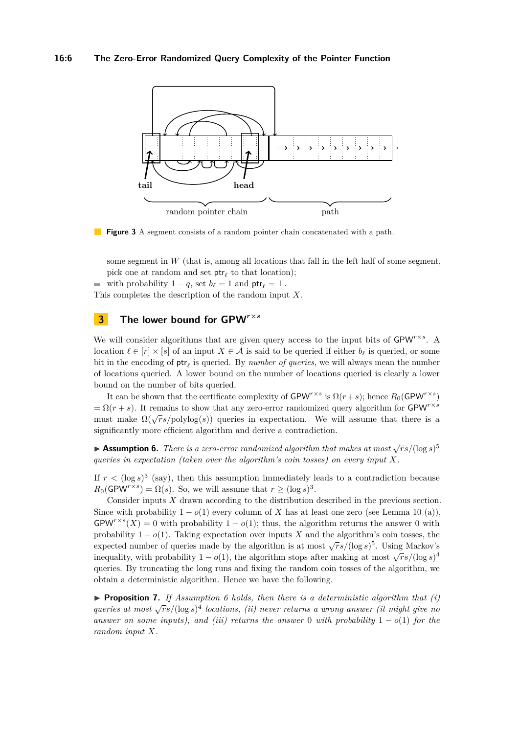## **16:6 The Zero-Error Randomized Query Complexity of the Pointer Function**

<span id="page-5-1"></span>

**Figure 3** A segment consists of a random pointer chain concatenated with a path.

some segment in *W* (that is, among all locations that fall in the left half of some segment, pick one at random and set  $ptr_{\ell}$  to that location);

with probability  $1 - q$ , set  $b_{\ell} = 1$  and  $\mathsf{ptr}_{\ell} = \bot$ . This completes the description of the random input *X*.

## **3 The lower bound for GPW***<sup>r</sup>***×***<sup>s</sup>*

We will consider algorithms that are given query access to the input bits of GPW<sup>r×s</sup>. A location  $\ell \in [r] \times [s]$  of an input  $X \in \mathcal{A}$  is said to be queried if either  $b_{\ell}$  is queried, or some bit in the encoding of  $\mathsf{ptr}_\ell$  is queried. By *number of queries*, we will always mean the number of locations queried. A lower bound on the number of locations queried is clearly a lower bound on the number of bits queried.

It can be shown that the certificate complexity of  $\mathsf{GPW}^{r\times s}$  is  $\Omega(r+s)$ ; hence  $R_0(\mathsf{GPW}^{r\times s})$  $= \Omega(r + s)$ . It remains to show that any zero-error randomized query algorithm for GPW<sup>r×*s*</sup>  $\alpha$  is the contains to show that any zero-error randomized query algorithm for  $\alpha$  will must make  $\Omega(\sqrt{rs}/\text{polylog}(s))$  queries in expectation. We will assume that there is a significantly more efficient algorithm and derive a contradiction.

<span id="page-5-0"></span>**► Assumption 6.** *There is a zero-error randomized algorithm that makes at most*  $\sqrt{r}s/(\log s)^5$ *queries in expectation (taken over the algorithm's coin tosses) on every input X.*

If  $r < (\log s)^3$  (say), then this assumption immediately leads to a contradiction because  $R_0(\mathsf{GPW}^{r \times s}) = \Omega(s)$ . So, we will assume that  $r \geq (\log s)^3$ .

Consider inputs *X* drawn according to the distribution described in the previous section. Since with probability  $1 - o(1)$  every column of *X* has at least one zero (see Lemma [10](#page-6-0) (a)),  $GPW^{r\times s}(X) = 0$  with probability  $1 - o(1)$ ; thus, the algorithm returns the answer 0 with probability  $1 - o(1)$ . Taking expectation over inputs X and the algorithm's coin tosses, the expected number of queries made by the algorithm is at most  $\sqrt{rs}/(\log s)^5$ . Using Markov's inequality, with probability  $1 - o(1)$ , the algorithm stops after making at most  $\sqrt{rs}/(\log s)^4$ queries. By truncating the long runs and fixing the random coin tosses of the algorithm, we obtain a deterministic algorithm. Hence we have the following.

<span id="page-5-2"></span>**Proposition 7.** If Assumption [6](#page-5-0) holds, then there is a deterministic algorithm that  $(i)$ **γ** *i loposition 7: i<sub>j</sub> h*samption *b* notas, then there is a acternatistic algorithm that (i) *queries at most* √rs/(log *s*)<sup>4</sup> *locations, (ii) never returns a wrong answer (it might give no answer on some inputs), and (iii) returns the answer* 0 *with probability*  $1 - o(1)$  *for the random input X.*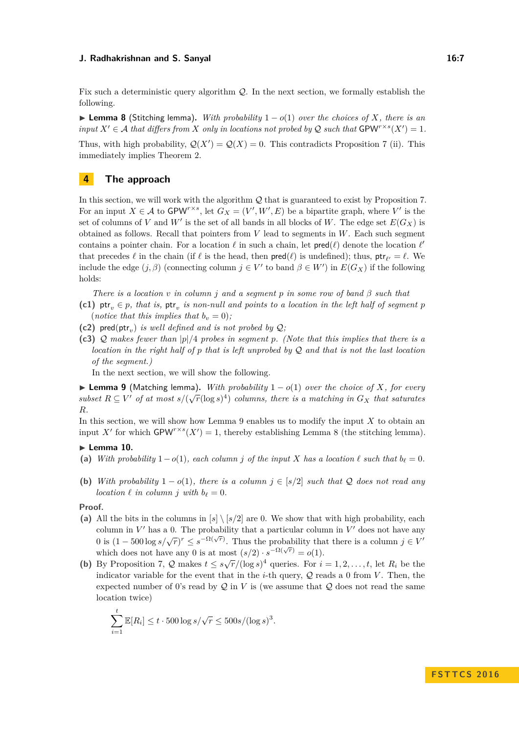Fix such a deterministic query algorithm Q. In the next section, we formally establish the following.

<span id="page-6-2"></span>**► Lemma 8** (Stitching lemma). With probability  $1 - o(1)$  over the choices of X, there is an *input*  $X' \in \mathcal{A}$  *that differs from*  $X$  *only in locations not probed by*  $\mathcal{Q}$  *such that*  $\mathsf{GPW}^{r \times s}(X') = 1$ *.* 

Thus, with high probability,  $Q(X') = Q(X) = 0$ . This contradicts Proposition [7](#page-5-2) (ii). This immediately implies Theorem [2.](#page-1-1)

## **4 The approach**

In this section, we will work with the algorithm Q that is guaranteed to exist by Proposition [7.](#page-5-2) For an input  $X \in \mathcal{A}$  to GPW<sup>*r*×*s*</sup>, let  $G_X = (V', W', E)$  be a bipartite graph, where V' is the set of columns of *V* and *W'* is the set of all bands in all blocks of *W*. The edge set  $E(G_X)$  is obtained as follows. Recall that pointers from *V* lead to segments in *W*. Each such segment contains a pointer chain. For a location  $\ell$  in such a chain, let  $\mathsf{pred}(\ell)$  denote the location  $\ell'$ that precedes  $\ell$  in the chain (if  $\ell$  is the head, then  $\text{pred}(\ell)$  is undefined); thus,  $\text{ptr}_{\ell'} = \ell$ . We include the edge  $(j, \beta)$  (connecting column  $j \in V'$  to band  $\beta \in W'$ ) in  $E(G_X)$  if the following holds:

*There is a location v in column j and a segment p in some row of band β such that*

- (c1)  $\mathsf{ptr}_v \in p$ , that is,  $\mathsf{ptr}_v$  is non-null and points to a location in the left half of segment  $p$ (*notice that this implies that*  $b_v = 0$ );
- (c2) pred(ptr<sub>*v*</sub>) *is well defined and is not probed by*  $Q$ ;
- **(c3)** Q *makes fewer than* |*p*|*/*4 *probes in segment p. (Note that this implies that there is a location in the right half of p that is left unprobed by* Q *and that is not the last location of the segment.)*

In the next section, we will show the following.

<span id="page-6-1"></span>**► Lemma 9** (Matching lemma). *With probability*  $1 - o(1)$  *over the choice of X, for every subset*  $R \subseteq V'$  *of at most*  $s/(\sqrt{r}(\log s)^4)$  *columns, there is a matching in*  $G_X$  *that saturates R.*

In this section, we will show how Lemma [9](#page-6-1) enables us to modify the input *X* to obtain an input X' for which  $\text{GPW}^{r\times s}(X')=1$ , thereby establishing Lemma [8](#page-6-2) (the stitching lemma).

## <span id="page-6-0"></span>**Lemma 10.**

- (a) *With probability*  $1-o(1)$ *, each column j of the input X has a location*  $\ell$  *such that*  $b_{\ell}=0$ *.*
- **(b)** *With probability*  $1 o(1)$ *, there is a column*  $j \in [s/2]$  *such that* Q *does not read any location*  $\ell$  *in column j with*  $b_{\ell} = 0$ *.*

#### **Proof.**

- (a) All the bits in the columns in  $[s] \setminus [s/2]$  are 0. We show that with high probability, each column in  $V'$  has a 0. The probability that a particular column in  $V'$  does not have any 0 is  $(1 - 500 \log s / \sqrt{r})^r \le s^{-\Omega(\sqrt{r})}$ . Thus the probability that there is a column  $j \in V'$ which does not have any 0 is at most  $(s/2) \cdot s^{-\Omega(\sqrt{r})} = o(1)$ .
- **(b)** By Proposition [7,](#page-5-2) Q makes  $t \leq s\sqrt{r}/(\log s)^4$  queries. For  $i = 1, 2, \ldots, t$ , let  $R_i$  be the indicator variable for the event that in the *i*-th query,  $Q$  reads a 0 from *V*. Then, the expected number of 0's read by  $\mathcal Q$  in *V* is (we assume that  $\mathcal Q$  does not read the same location twice)

$$
\sum_{i=1}^t \mathbb{E}[R_i] \le t \cdot 500 \log s / \sqrt{r} \le 500 s / (\log s)^3.
$$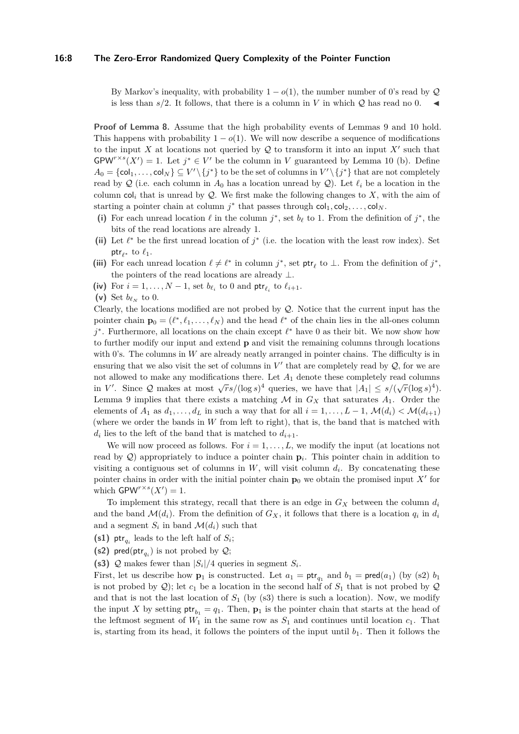## **16:8 The Zero-Error Randomized Query Complexity of the Pointer Function**

By Markov's inequality, with probability  $1 - o(1)$ , the number number of 0's read by  $\mathcal{Q}$ is less than  $s/2$ . It follows, that there is a column in *V* in which  $Q$  has read no 0.

**Proof of Lemma [8.](#page-6-2)** Assume that the high probability events of Lemmas [9](#page-6-1) and [10](#page-6-0) hold. This happens with probability  $1 - o(1)$ . We will now describe a sequence of modifications to the input X at locations not queried by  $Q$  to transform it into an input  $X'$  such that  $GPW^{r\times s}(X') = 1$ . Let  $j^* \in V'$  be the column in *V* guaranteed by Lemma [10](#page-6-0) (b). Define  $A_0 = \{\text{col}_1, \ldots, \text{col}_N\} \subseteq V' \setminus \{j^*\}$  to be the set of columns in  $V' \setminus \{j^*\}$  that are not completely read by  $Q$  (i.e. each column in  $A_0$  has a location unread by  $Q$ ). Let  $\ell_i$  be a location in the column  $col_i$  that is unread by  $Q$ . We first make the following changes to  $X$ , with the aim of starting a pointer chain at column  $j^*$  that passes through  $col_1, col_2, \ldots, col_N$ .

- (i) For each unread location  $\ell$  in the column  $j^*$ , set  $b_\ell$  to 1. From the definition of  $j^*$ , the bits of the read locations are already 1.
- (ii) Let  $\ell^*$  be the first unread location of  $j^*$  (i.e. the location with the least row index). Set ptr<sub> $\ell$ \*</sub> to  $\ell_1$ .
- (iii) For each unread location  $\ell \neq \ell^*$  in column  $j^*$ , set ptr<sub> $\ell$ </sub> to ⊥. From the definition of  $j^*$ , the pointers of the read locations are already  $\perp$ .
- (iv) For  $i = 1, ..., N 1$ , set  $b_{\ell_i}$  to 0 and ptr<sub> $\ell_i$ </sub> to  $\ell_{i+1}$ .
- (v) Set  $b_{\ell_N}$  to 0.

Clearly, the locations modified are not probed by Q. Notice that the current input has the pointer chain  $\mathbf{p}_0 = (\ell^*, \ell_1, \ldots, \ell_N)$  and the head  $\ell^*$  of the chain lies in the all-ones column *j*<sup>\*</sup>. Furthermore, all locations on the chain except  $\ell$ <sup>\*</sup> have 0 as their bit. We now show how to further modify our input and extend **p** and visit the remaining columns through locations with 0's. The columns in  $W$  are already neatly arranged in pointer chains. The difficulty is in ensuring that we also visit the set of columns in  $V'$  that are completely read by  $\mathcal{Q}$ , for we are not allowed to make any modifications there. Let  $A_1$  denote these completely read columns in *V'*. Since Q makes at most  $\sqrt{rs}/(\log s)^4$  queries, we have that  $|A_1| \le s/(\sqrt{r}(\log s)^4)$ . Lemma [9](#page-6-1) implies that there exists a matching  $\mathcal M$  in  $G_X$  that saturates  $A_1$ . Order the elements of  $A_1$  as  $d_1, \ldots, d_L$  in such a way that for all  $i = 1, \ldots, L-1$ ,  $\mathcal{M}(d_i) < \mathcal{M}(d_{i+1})$ (where we order the bands in *W* from left to right), that is, the band that is matched with  $d_i$  lies to the left of the band that is matched to  $d_{i+1}$ .

We will now proceed as follows. For  $i = 1, \ldots, L$ , we modify the input (at locations not read by  $Q$ ) appropriately to induce a pointer chain  $p_i$ . This pointer chain in addition to visiting a contiguous set of columns in  $W$ , will visit column  $d_i$ . By concatenating these pointer chains in order with the initial pointer chain  $\mathbf{p}_0$  we obtain the promised input  $X'$  for which  $\mathsf{GPW}^{r\times s}(X')=1.$ 

To implement this strategy, recall that there is an edge in  $G_X$  between the column  $d_i$ and the band  $\mathcal{M}(d_i)$ . From the definition of  $G_X$ , it follows that there is a location  $q_i$  in  $d_i$ and a segment  $S_i$  in band  $\mathcal{M}(d_i)$  such that

- (s1)  $\mathsf{ptr}_{q_i}$  leads to the left half of  $S_i$ ;
- **(s2)** pred(ptr<sub>q<sub>i</sub></sub>) is not probed by  $Q$ ;
- (s3)  $Q$  makes fewer than  $|S_i|/4$  queries in segment  $S_i$ .

First, let us describe how  $\mathbf{p}_1$  is constructed. Let  $a_1 = \mathsf{ptr}_{q_1}$  and  $b_1 = \mathsf{pred}(a_1)$  (by (s2)  $b_1$ is not probed by  $Q$ ); let  $c_1$  be a location in the second half of  $S_1$  that is not probed by  $Q$ and that is not the last location of  $S_1$  (by  $(s3)$  there is such a location). Now, we modify the input X by setting  $\mathsf{ptr}_{b_1} = q_1$ . Then,  $\mathbf{p}_1$  is the pointer chain that starts at the head of the leftmost segment of  $W_1$  in the same row as  $S_1$  and continues until location  $c_1$ . That is, starting from its head, it follows the pointers of the input until  $b_1$ . Then it follows the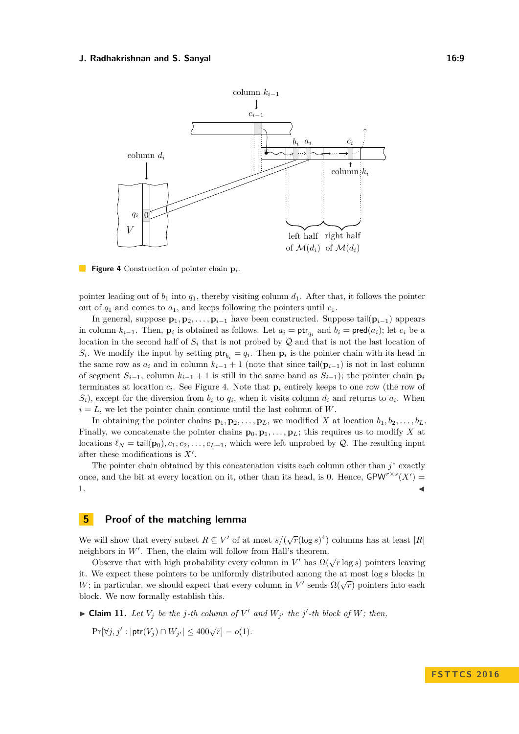<span id="page-8-0"></span>

**Figure 4** Construction of pointer chain **p***i*.

pointer leading out of  $b_1$  into  $q_1$ , thereby visiting column  $d_1$ . After that, it follows the pointer out of *q*<sup>1</sup> and comes to *a*1, and keeps following the pointers until *c*1.

In general, suppose  $\mathbf{p}_1, \mathbf{p}_2, \ldots, \mathbf{p}_{i-1}$  have been constructed. Suppose  $\text{tail}(\mathbf{p}_{i-1})$  appears in column  $k_{i-1}$ . Then,  $\mathbf{p}_i$  is obtained as follows. Let  $a_i = \mathsf{ptr}_{q_i}$  and  $b_i = \mathsf{pred}(a_i)$ ; let  $c_i$  be a location in the second half of  $S_i$  that is not probed by  $\mathcal Q$  and that is not the last location of *S*<sup>*i*</sup>. We modify the input by setting  $\mathsf{ptr}_{b_i} = q_i$ . Then  $\mathbf{p}_i$  is the pointer chain with its head in the same row as  $a_i$  and in column  $k_{i-1} + 1$  (note that since tail( $\mathbf{p}_{i-1}$ ) is not in last column of segment  $S_{i-1}$ , column  $k_{i-1} + 1$  is still in the same band as  $S_{i-1}$ ; the pointer chain  $\mathbf{p}_i$ terminates at location  $c_i$ . See Figure [4.](#page-8-0) Note that  $p_i$  entirely keeps to one row (the row of  $S_i$ , except for the diversion from  $b_i$  to  $q_i$ , when it visits column  $d_i$  and returns to  $a_i$ . When  $i = L$ , we let the pointer chain continue until the last column of *W*.

In obtaining the pointer chains  $\mathbf{p}_1, \mathbf{p}_2, \ldots, \mathbf{p}_L$ , we modified *X* at location  $b_1, b_2, \ldots, b_L$ . Finally, we concatenate the pointer chains  $\mathbf{p}_0, \mathbf{p}_1, \ldots, \mathbf{p}_L$ ; this requires us to modify X at locations  $\ell_N = \text{tail}(\mathbf{p}_0), c_1, c_2, \ldots, c_{L-1}$ , which were left unprobed by  $\mathcal{Q}$ . The resulting input after these modifications is  $X'$ .

The pointer chain obtained by this concatenation visits each column other than  $j^*$  exactly once, and the bit at every location on it, other than its head, is 0. Hence,  $\mathsf{GPW}^{r\times s}(X')=$  $1.$ 

## **5 Proof of the matching lemma**

We will show that every subset  $R \subseteq V'$  of at most  $s/(\sqrt{r}(\log s)^4)$  columns has at least  $|R|$ neighbors in  $W'$ . Then, the claim will follow from Hall's theorem.

Observe that with high probability every column in *V'* has  $\Omega(\sqrt{r} \log s)$  pointers leaving Observe that with high probability every column in *V'* has  $\Omega(\sqrt{r} \log s)$  pointers leaving it. We expect these pointers to be uniformly distributed among the at most log *s* blocks in *W*; in particular, we should expect that every column in *V*' sends  $\Omega(\sqrt{r})$  pointers into each block. We now formally establish this.

<span id="page-8-1"></span> $\blacktriangleright$  **Claim 11.** Let  $V_j$  be the j-th column of  $V'$  and  $W_{j'}$  the j'-th block of  $W$ ; then,

 $Pr[\forall j, j' : |\text{ptr}(V_j) \cap W_{j'}| \le 400\sqrt{r}] = o(1).$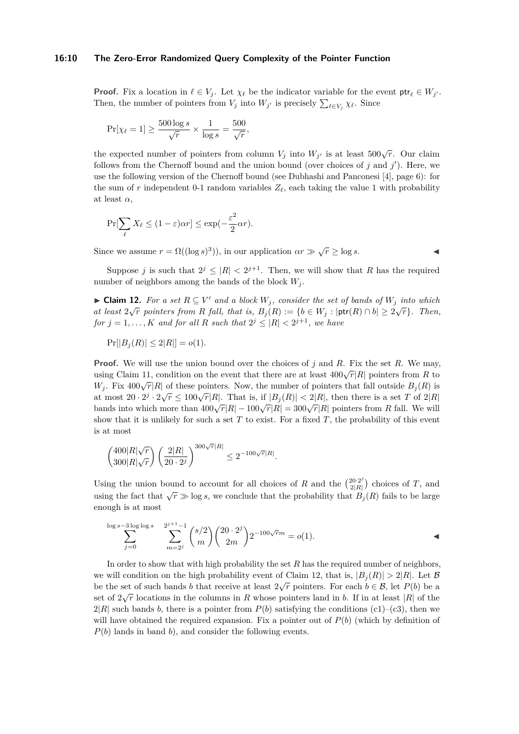## **16:10 The Zero-Error Randomized Query Complexity of the Pointer Function**

**Proof.** Fix a location in  $\ell \in V_j$ . Let  $\chi_{\ell}$  be the indicator variable for the event  $\mathsf{ptr}_{\ell} \in W_{j'}$ . Then, the number of pointers from  $V_j$  into  $W_{j'}$  is precisely  $\sum_{\ell \in V_j} \chi_{\ell}$ . Since

$$
\Pr[\chi_{\ell} = 1] \ge \frac{500 \log s}{\sqrt{r}} \times \frac{1}{\log s} = \frac{500}{\sqrt{r}},
$$

the expected number of pointers from column  $V_j$  into  $W_{j'}$  is at least 500 $\sqrt{r}$ . Our claim follows from the Chernoff bound and the union bound (over choices of  $j$  and  $j'$ ). Here, we use the following version of the Chernoff bound (see Dubhashi and Panconesi [\[4\]](#page-12-11), page 6): for the sum of r independent 0-1 random variables  $Z_{\ell}$ , each taking the value 1 with probability at least  $\alpha$ ,

$$
\Pr[\sum_{\ell} X_{\ell} \le (1 - \varepsilon)\alpha r] \le \exp(-\frac{\varepsilon^2}{2}\alpha r).
$$

Since we assume  $r = \Omega((\log s)^3)$ , in our application  $\alpha r \gg \sqrt{r} \ge \log s$ .

Suppose *j* is such that  $2^j \leq |R| < 2^{j+1}$ . Then, we will show that *R* has the required number of neighbors among the bands of the block  $W_i$ .

<span id="page-9-0"></span>► Claim 12. For a set  $R \subseteq V'$  and a block  $W_j$ , consider the set of bands of  $W_j$  into which *at least*  $2\sqrt{r}$  *pointers from R fall, that is,*  $B_j(R) := \{b \in W_j : |\text{ptr}(R) \cap b| \geq 2\sqrt{r}\}\$ . Then, *for*  $j = 1, \ldots, K$  *and for all*  $R$  *such that*  $2^{j} \leq |R| < 2^{j+1}$ *, we have* 

$$
Pr[|B_j(R)| \leq 2|R|] = o(1).
$$

**Proof.** We will use the union bound over the choices of *j* and *R*. Fix the set *R*. We may, using Claim [11,](#page-8-1) condition on the event that there are at least  $400\sqrt{r}|R|$  pointers from *R* to the event of the event that there are at least  $400\sqrt{r}|R|$  pointers from *R* to *W*<sub>*j*</sub>. Fix 400 $\sqrt{r}|R|$  of these pointers. Now, the number of pointers that fall outside  $B_j(R)$  is *v*<sub>*j*</sub>. FIX 400V/ $|R|$  of these pointers. Now, the number of pointers that fall outside  $D_j(t)$  is a set  $T$  of  $2|R$  at most  $20 \cdot 2^j \cdot 2\sqrt{r} \le 100\sqrt{r}|R|$ . That is, if  $|B_j(R)| < 2|R|$ , then there is a set *T* of  $2|R|$ bands into which more than  $400\sqrt{r}|R| - 100\sqrt{r}|R| = 300\sqrt{r}|R|$  pointers from *R* fall. We will show that it is unlikely for such a set  $T$  to exist. For a fixed  $T$ , the probability of this event is at most

$$
\binom{400|R|\sqrt{r}}{300|R|\sqrt{r}} \left(\frac{2|R|}{20\cdot 2^j}\right)^{300\sqrt{r}|R|} \le 2^{-100\sqrt{r}|R|}.
$$

Using the union bound to account for all choices of *R* and the  $\binom{20\cdot 2^j}{2|B|}$  $\binom{20\cdot2^j}{2|R|}$  choices of *T*, and using the fact that  $\sqrt{r} \gg \log s$ , we conclude that the probability that  $B_j(R)$  fails to be large enough is at most

$$
\sum_{j=0}^{\log s-3 \log \log s} \sum_{m=2^j}^{2^{j+1}-1} \binom{s/2}{m} \binom{20 \cdot 2^j}{2m} 2^{-100\sqrt{r}m} = o(1).
$$

In order to show that with high probability the set *R* has the required number of neighbors, we will condition on the high probability event of Claim [12,](#page-9-0) that is,  $|B_j(R)| > 2|R|$ . Let B be the set of such bands *b* that receive at least  $2\sqrt{r}$  pointers. For each  $b \in \mathcal{B}$ , let  $P(b)$  be a set of  $2\sqrt{r}$  locations in the columns in *R* whose pointers land in *b*. If in at least |*R*| of the  $2|R|$  such bands *b*, there is a pointer from  $P(b)$  satisfying the conditions (c1)–(c3), then we will have obtained the required expansion. Fix a pointer out of  $P(b)$  (which by definition of *P*(*b*) lands in band *b*), and consider the following events.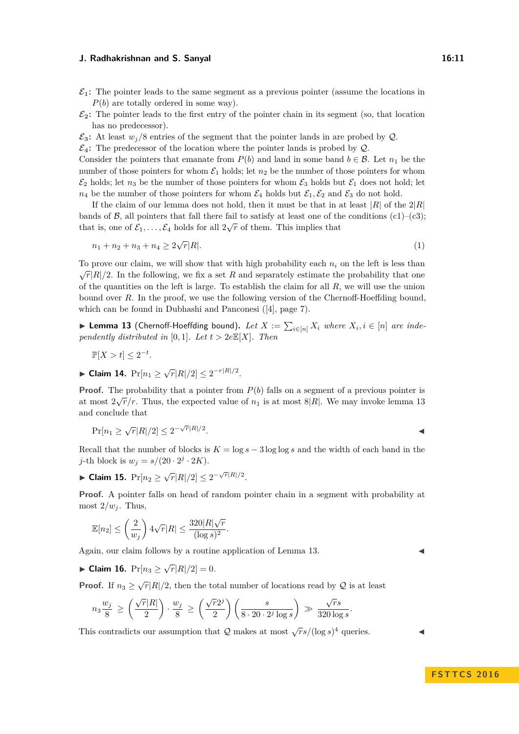- $\mathcal{E}_1$ : The pointer leads to the same segment as a previous pointer (assume the locations in *P*(*b*) are totally ordered in some way).
- $\mathcal{E}_2$ : The pointer leads to the first entry of the pointer chain in its segment (so, that location has no predecessor).
- $\mathcal{E}_3$ : At least  $w_j/8$  entries of the segment that the pointer lands in are probed by Q.

 $\mathcal{E}_4$ : The predecessor of the location where the pointer lands is probed by  $\mathcal{Q}$ .

Consider the pointers that emanate from  $P(b)$  and land in some band  $b \in \mathcal{B}$ . Let  $n_1$  be the number of those pointers for whom  $\mathcal{E}_1$  holds; let  $n_2$  be the number of those pointers for whom  $\mathcal{E}_2$  holds; let  $n_3$  be the number of those pointers for whom  $\mathcal{E}_3$  holds but  $\mathcal{E}_1$  does not hold; let  $n_4$  be the number of those pointers for whom  $\mathcal{E}_4$  holds but  $\mathcal{E}_1, \mathcal{E}_2$  and  $\mathcal{E}_3$  do not hold.

If the claim of our lemma does not hold, then it must be that in at least  $|R|$  of the  $2|R|$ bands of B, all pointers that fall there fail to satisfy at least one of the conditions (c1)–(c3); that is, one of  $\mathcal{E}_1, \ldots, \mathcal{E}_4$  holds for all  $2\sqrt{r}$  of them. This implies that

$$
n_1 + n_2 + n_3 + n_4 \ge 2\sqrt{r}|R|.\tag{1}
$$

To prove our claim, we will show that with high probability each *n<sup>i</sup>* on the left is less than  $\sqrt{r}|R|/2$ . In the following, we fix a set *R* and separately estimate the probability that one of the quantities on the left is large. To establish the claim for all *R*, we will use the union bound over *R*. In the proof, we use the following version of the Chernoff-Hoeffding bound, which can be found in Dubhashi and Panconesi ([\[4\]](#page-12-11), page 7).

<span id="page-10-0"></span>▶ **Lemma 13** (Chernoff-Hoeffding bound). *Let*  $X := \sum_{i \in [n]} X_i$  where  $X_i, i \in [n]$  are inde*pendently distributed in* [0, 1]*. Let*  $t > 2eE[X]$ *. Then* 

$$
\mathbb{P}[X > t] \le 2^{-t}
$$

► Claim 14.  $Pr[n_1 \ge \sqrt{r}|R|/2] \le 2^{-r|R|/2}$ .

*.*

**Proof.** The probability that a pointer from  $P(b)$  falls on a segment of a previous pointer is at most  $2\sqrt{r}/r$ . Thus, the expected value of  $n_1$  is at most 8|R|. We may invoke lemma [13](#page-10-0) and conclude that

$$
\Pr[n_1 \ge \sqrt{r}|R|/2] \le 2^{-\sqrt{r}|R|/2}.
$$

Recall that the number of blocks is  $K = \log s - 3 \log \log s$  and the width of each band in the *j*-th block is  $w_j = s/(20 \cdot 2^j \cdot 2K)$ .

► Claim 15.  $Pr[n_2 \ge \sqrt{r}|R|/2] \le 2^{-\sqrt{r}|R|/2}$ .

**Proof.** A pointer falls on head of random pointer chain in a segment with probability at most  $2/w_i$ . Thus,

$$
\mathbb{E}[n_2] \le \left(\frac{2}{w_j}\right) 4\sqrt{r}|R| \le \frac{320|R|\sqrt{r}}{(\log s)^2}.
$$

Again, our claim follows by a routine application of Lemma [13.](#page-10-0)

► Claim 16.  $Pr[n_3 \ge \sqrt{r}|R|/2] = 0$ *.* 

**Proof.** If  $n_3 \ge \sqrt{r} |R|/2$ , then the total number of locations read by Q is at least

$$
n_3 \frac{w_j}{8} \ge \left(\frac{\sqrt{r}|R|}{2}\right) \cdot \frac{w_j}{8} \ge \left(\frac{\sqrt{r}2^j}{2}\right) \left(\frac{s}{8 \cdot 20 \cdot 2^j \log s}\right) \gg \frac{\sqrt{r}s}{320 \log s}.
$$

This contradicts our assumption that  $Q$  makes at most  $\sqrt{r}s/(\log s)^4$  queries.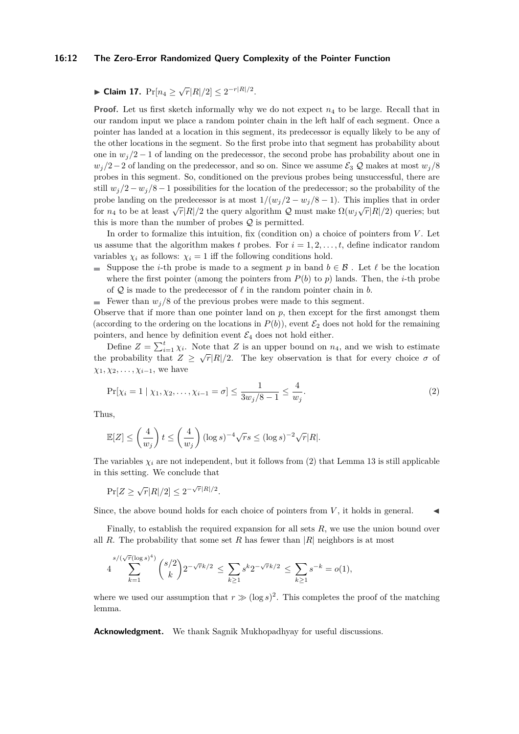## **16:12 The Zero-Error Randomized Query Complexity of the Pointer Function**

# ► Claim 17.  $Pr[n_4 \ge \sqrt{r}|R|/2] \le 2^{-r|R|/2}$ .

**Proof.** Let us first sketch informally why we do not expect  $n_4$  to be large. Recall that in our random input we place a random pointer chain in the left half of each segment. Once a pointer has landed at a location in this segment, its predecessor is equally likely to be any of the other locations in the segment. So the first probe into that segment has probability about one in  $w_j/2 - 1$  of landing on the predecessor, the second probe has probability about one in  $w_j/2-2$  of landing on the predecessor, and so on. Since we assume  $\mathcal{E}_3 \mathcal{Q}$  makes at most  $w_j/8$ probes in this segment. So, conditioned on the previous probes being unsuccessful, there are still  $w_j/2 - w_j/8 - 1$  possibilities for the location of the predecessor; so the probability of the probe landing on the predecessor is at most  $1/(w_j/2 - w_j/8 - 1)$ . This implies that in order for *n*<sub>4</sub> to be at least  $\sqrt{r}|R|/2$  the query algorithm Q must make  $\Omega(w_j\sqrt{r}|R|/2)$  queries; but this is more than the number of probes  $Q$  is permitted.

In order to formalize this intuition, fix (condition on) a choice of pointers from *V*. Let us assume that the algorithm makes  $t$  probes. For  $i = 1, 2, \ldots, t$ , define indicator random variables  $\chi_i$  as follows:  $\chi_i = 1$  iff the following conditions hold.

Suppose the *i*-th probe is made to a segment p in band  $b \in \mathcal{B}$ . Let  $\ell$  be the location where the first pointer (among the pointers from  $P(b)$  to  $p$ ) lands. Then, the *i*-th probe of  $Q$  is made to the predecessor of  $\ell$  in the random pointer chain in  $b$ .

Fewer than  $w_i/8$  of the previous probes were made to this segment.

Observe that if more than one pointer land on *p*, then except for the first amongst them (according to the ordering on the locations in  $P(b)$ ), event  $\mathcal{E}_2$  does not hold for the remaining pointers, and hence by definition event  $\mathcal{E}_4$  does not hold either.

Define  $Z = \sum_{i=1}^{t} \chi_i$ . Note that *Z* is an upper bound on *n*<sub>4</sub>, and we wish to estimate the probability that  $Z \geq \sqrt{r} |R|/2$ . The key observation is that for every choice  $\sigma$  of  $\chi_1, \chi_2, \ldots, \chi_{i-1}$ , we have

<span id="page-11-0"></span>
$$
\Pr[\chi_i = 1 \mid \chi_1, \chi_2, \dots, \chi_{i-1} = \sigma] \le \frac{1}{3w_j/8 - 1} \le \frac{4}{w_j}.
$$
\n(2)

Thus,

$$
\mathbb{E}[Z] \le \left(\frac{4}{w_j}\right)t \le \left(\frac{4}{w_j}\right)(\log s)^{-4}\sqrt{r}s \le (\log s)^{-2}\sqrt{r}|R|.
$$

The variables  $\chi_i$  are not independent, but it follows from [\(2\)](#page-11-0) that Lemma [13](#page-10-0) is still applicable in this setting. We conclude that

 $Pr[Z \ge \sqrt{r}|R|/2] \le 2^{-\sqrt{r}|R|/2}.$ 

Since, the above bound holds for each choice of pointers from  $V$ , it holds in general.

Finally, to establish the required expansion for all sets *R*, we use the union bound over all *R*. The probability that some set *R* has fewer than  $|R|$  neighbors is at most

$$
4\sum_{k=1}^{s/(\sqrt{r}(\log s)^4)} {s/2 \choose k} 2^{-\sqrt{r}k/2} \le \sum_{k\ge 1} s^k 2^{-\sqrt{r}k/2} \le \sum_{k\ge 1} s^{-k} = o(1),
$$

where we used our assumption that  $r \gg (\log s)^2$ . This completes the proof of the matching lemma.

**Acknowledgment.** We thank Sagnik Mukhopadhyay for useful discussions.